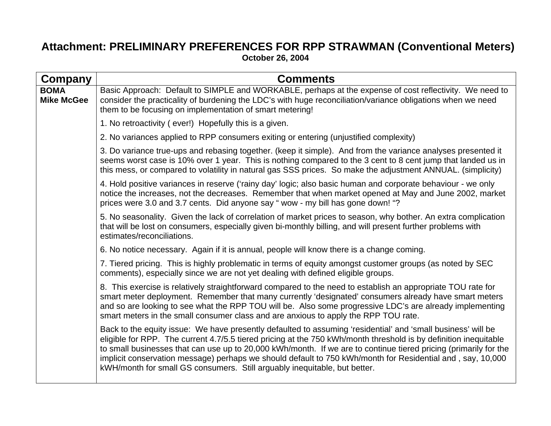## **Attachment: PRELIMINARY PREFERENCES FOR RPP STRAWMAN (Conventional Meters) October 26, 2004**

| <b>Company</b>                   | <b>Comments</b>                                                                                                                                                                                                                                                                                                                                                                                                                                                                                                                                 |
|----------------------------------|-------------------------------------------------------------------------------------------------------------------------------------------------------------------------------------------------------------------------------------------------------------------------------------------------------------------------------------------------------------------------------------------------------------------------------------------------------------------------------------------------------------------------------------------------|
| <b>BOMA</b><br><b>Mike McGee</b> | Basic Approach: Default to SIMPLE and WORKABLE, perhaps at the expense of cost reflectivity. We need to<br>consider the practicality of burdening the LDC's with huge reconciliation/variance obligations when we need<br>them to be focusing on implementation of smart metering!                                                                                                                                                                                                                                                              |
|                                  | 1. No retroactivity (ever!) Hopefully this is a given.                                                                                                                                                                                                                                                                                                                                                                                                                                                                                          |
|                                  | 2. No variances applied to RPP consumers exiting or entering (unjustified complexity)                                                                                                                                                                                                                                                                                                                                                                                                                                                           |
|                                  | 3. Do variance true-ups and rebasing together. (keep it simple). And from the variance analyses presented it<br>seems worst case is 10% over 1 year. This is nothing compared to the 3 cent to 8 cent jump that landed us in<br>this mess, or compared to volatility in natural gas SSS prices. So make the adjustment ANNUAL. (simplicity)                                                                                                                                                                                                     |
|                                  | 4. Hold positive variances in reserve ('rainy day' logic; also basic human and corporate behaviour - we only<br>notice the increases, not the decreases. Remember that when market opened at May and June 2002, market<br>prices were 3.0 and 3.7 cents. Did anyone say "wow - my bill has gone down! "?                                                                                                                                                                                                                                        |
|                                  | 5. No seasonality. Given the lack of correlation of market prices to season, why bother. An extra complication<br>that will be lost on consumers, especially given bi-monthly billing, and will present further problems with<br>estimates/reconciliations.                                                                                                                                                                                                                                                                                     |
|                                  | 6. No notice necessary. Again if it is annual, people will know there is a change coming.                                                                                                                                                                                                                                                                                                                                                                                                                                                       |
|                                  | 7. Tiered pricing. This is highly problematic in terms of equity amongst customer groups (as noted by SEC<br>comments), especially since we are not yet dealing with defined eligible groups.                                                                                                                                                                                                                                                                                                                                                   |
|                                  | 8. This exercise is relatively straightforward compared to the need to establish an appropriate TOU rate for<br>smart meter deployment. Remember that many currently 'designated' consumers already have smart meters<br>and so are looking to see what the RPP TOU will be. Also some progressive LDC's are already implementing<br>smart meters in the small consumer class and are anxious to apply the RPP TOU rate.                                                                                                                        |
|                                  | Back to the equity issue: We have presently defaulted to assuming 'residential' and 'small business' will be<br>eligible for RPP. The current 4.7/5.5 tiered pricing at the 750 kWh/month threshold is by definition inequitable<br>to small businesses that can use up to 20,000 kWh/month. If we are to continue tiered pricing (primarily for the<br>implicit conservation message) perhaps we should default to 750 kWh/month for Residential and, say, 10,000<br>kWH/month for small GS consumers. Still arguably inequitable, but better. |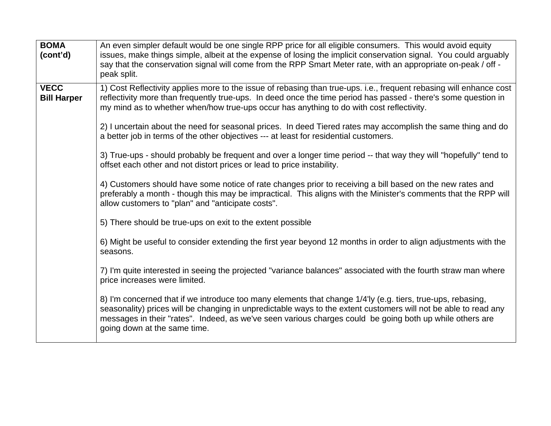| <b>BOMA</b><br>(cont'd)           | An even simpler default would be one single RPP price for all eligible consumers. This would avoid equity<br>issues, make things simple, albeit at the expense of losing the implicit conservation signal. You could arguably<br>say that the conservation signal will come from the RPP Smart Meter rate, with an appropriate on-peak / off -<br>peak split.              |
|-----------------------------------|----------------------------------------------------------------------------------------------------------------------------------------------------------------------------------------------------------------------------------------------------------------------------------------------------------------------------------------------------------------------------|
| <b>VECC</b><br><b>Bill Harper</b> | 1) Cost Reflectivity applies more to the issue of rebasing than true-ups. i.e., frequent rebasing will enhance cost<br>reflectivity more than frequently true-ups. In deed once the time period has passed - there's some question in<br>my mind as to whether when/how true-ups occur has anything to do with cost reflectivity.                                          |
|                                   | 2) I uncertain about the need for seasonal prices. In deed Tiered rates may accomplish the same thing and do<br>a better job in terms of the other objectives --- at least for residential customers.                                                                                                                                                                      |
|                                   | 3) True-ups - should probably be frequent and over a longer time period -- that way they will "hopefully" tend to<br>offset each other and not distort prices or lead to price instability.                                                                                                                                                                                |
|                                   | 4) Customers should have some notice of rate changes prior to receiving a bill based on the new rates and<br>preferably a month - though this may be impractical. This aligns with the Minister's comments that the RPP will<br>allow customers to "plan" and "anticipate costs".                                                                                          |
|                                   | 5) There should be true-ups on exit to the extent possible                                                                                                                                                                                                                                                                                                                 |
|                                   | 6) Might be useful to consider extending the first year beyond 12 months in order to align adjustments with the<br>seasons.                                                                                                                                                                                                                                                |
|                                   | 7) I'm quite interested in seeing the projected "variance balances" associated with the fourth straw man where<br>price increases were limited.                                                                                                                                                                                                                            |
|                                   | 8) I'm concerned that if we introduce too many elements that change 1/4'ly (e.g. tiers, true-ups, rebasing,<br>seasonality) prices will be changing in unpredictable ways to the extent customers will not be able to read any<br>messages in their "rates". Indeed, as we've seen various charges could be going both up while others are<br>going down at the same time. |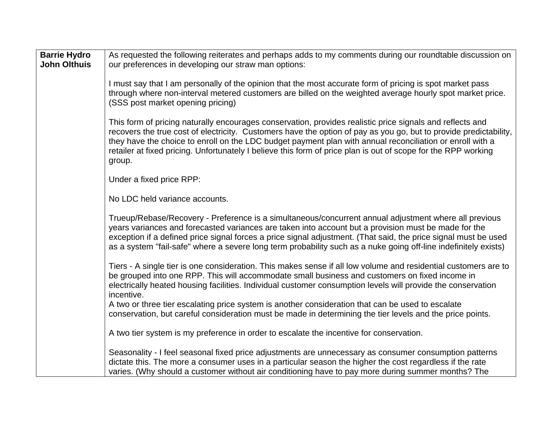| <b>Barrie Hydro</b><br><b>John Olthuis</b> | As requested the following reiterates and perhaps adds to my comments during our roundtable discussion on<br>our preferences in developing our straw man options:                                                                                                                                                                                                                                                                                                       |
|--------------------------------------------|-------------------------------------------------------------------------------------------------------------------------------------------------------------------------------------------------------------------------------------------------------------------------------------------------------------------------------------------------------------------------------------------------------------------------------------------------------------------------|
|                                            | I must say that I am personally of the opinion that the most accurate form of pricing is spot market pass<br>through where non-interval metered customers are billed on the weighted average hourly spot market price.<br>(SSS post market opening pricing)                                                                                                                                                                                                             |
|                                            | This form of pricing naturally encourages conservation, provides realistic price signals and reflects and<br>recovers the true cost of electricity. Customers have the option of pay as you go, but to provide predictability,<br>they have the choice to enroll on the LDC budget payment plan with annual reconciliation or enroll with a<br>retailer at fixed pricing. Unfortunately I believe this form of price plan is out of scope for the RPP working<br>group. |
|                                            | Under a fixed price RPP:                                                                                                                                                                                                                                                                                                                                                                                                                                                |
|                                            | No LDC held variance accounts.                                                                                                                                                                                                                                                                                                                                                                                                                                          |
|                                            | Trueup/Rebase/Recovery - Preference is a simultaneous/concurrent annual adjustment where all previous<br>years variances and forecasted variances are taken into account but a provision must be made for the<br>exception if a defined price signal forces a price signal adjustment. (That said, the price signal must be used<br>as a system "fail-safe" where a severe long term probability such as a nuke going off-line indefinitely exists)                     |
|                                            | Tiers - A single tier is one consideration. This makes sense if all low volume and residential customers are to<br>be grouped into one RPP. This will accommodate small business and customers on fixed income in<br>electrically heated housing facilities. Individual customer consumption levels will provide the conservation<br>incentive.                                                                                                                         |
|                                            | A two or three tier escalating price system is another consideration that can be used to escalate<br>conservation, but careful consideration must be made in determining the tier levels and the price points.                                                                                                                                                                                                                                                          |
|                                            | A two tier system is my preference in order to escalate the incentive for conservation.                                                                                                                                                                                                                                                                                                                                                                                 |
|                                            | Seasonality - I feel seasonal fixed price adjustments are unnecessary as consumer consumption patterns<br>dictate this. The more a consumer uses in a particular season the higher the cost regardless if the rate<br>varies. (Why should a customer without air conditioning have to pay more during summer months? The                                                                                                                                                |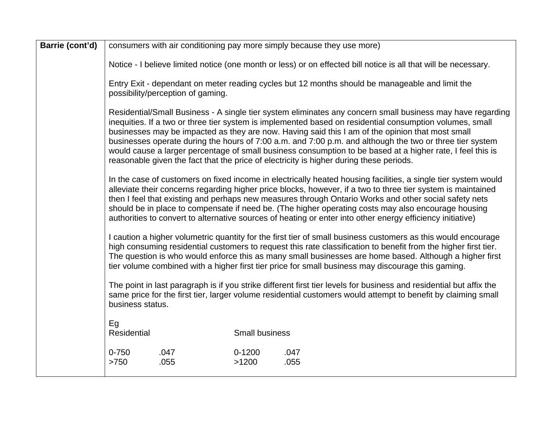| Barrie (cont'd) | consumers with air conditioning pay more simply because they use more)                                                                                                                                                                                                                                                                                                                                                                                                                                                                                                                                                                                                                                                                                                                                                                                                                                                                                                                                                                                                                                                                                                                                                                                                                                                                                                                                                                                                                                                                                                                                                                                               |                                                                                                                 |                       |              |  |  |  |
|-----------------|----------------------------------------------------------------------------------------------------------------------------------------------------------------------------------------------------------------------------------------------------------------------------------------------------------------------------------------------------------------------------------------------------------------------------------------------------------------------------------------------------------------------------------------------------------------------------------------------------------------------------------------------------------------------------------------------------------------------------------------------------------------------------------------------------------------------------------------------------------------------------------------------------------------------------------------------------------------------------------------------------------------------------------------------------------------------------------------------------------------------------------------------------------------------------------------------------------------------------------------------------------------------------------------------------------------------------------------------------------------------------------------------------------------------------------------------------------------------------------------------------------------------------------------------------------------------------------------------------------------------------------------------------------------------|-----------------------------------------------------------------------------------------------------------------|-----------------------|--------------|--|--|--|
|                 |                                                                                                                                                                                                                                                                                                                                                                                                                                                                                                                                                                                                                                                                                                                                                                                                                                                                                                                                                                                                                                                                                                                                                                                                                                                                                                                                                                                                                                                                                                                                                                                                                                                                      | Notice - I believe limited notice (one month or less) or on effected bill notice is all that will be necessary. |                       |              |  |  |  |
|                 | Entry Exit - dependant on meter reading cycles but 12 months should be manageable and limit the<br>possibility/perception of gaming.                                                                                                                                                                                                                                                                                                                                                                                                                                                                                                                                                                                                                                                                                                                                                                                                                                                                                                                                                                                                                                                                                                                                                                                                                                                                                                                                                                                                                                                                                                                                 |                                                                                                                 |                       |              |  |  |  |
|                 | Residential/Small Business - A single tier system eliminates any concern small business may have regarding<br>inequities. If a two or three tier system is implemented based on residential consumption volumes, small<br>businesses may be impacted as they are now. Having said this I am of the opinion that most small<br>businesses operate during the hours of 7:00 a.m. and 7:00 p.m. and although the two or three tier system<br>would cause a larger percentage of small business consumption to be based at a higher rate, I feel this is<br>reasonable given the fact that the price of electricity is higher during these periods.<br>In the case of customers on fixed income in electrically heated housing facilities, a single tier system would<br>alleviate their concerns regarding higher price blocks, however, if a two to three tier system is maintained<br>then I feel that existing and perhaps new measures through Ontario Works and other social safety nets<br>should be in place to compensate if need be. (The higher operating costs may also encourage housing<br>authorities to convert to alternative sources of heating or enter into other energy efficiency initiative)<br>I caution a higher volumetric quantity for the first tier of small business customers as this would encourage<br>high consuming residential customers to request this rate classification to benefit from the higher first tier.<br>The question is who would enforce this as many small businesses are home based. Although a higher first<br>tier volume combined with a higher first tier price for small business may discourage this gaming. |                                                                                                                 |                       |              |  |  |  |
|                 |                                                                                                                                                                                                                                                                                                                                                                                                                                                                                                                                                                                                                                                                                                                                                                                                                                                                                                                                                                                                                                                                                                                                                                                                                                                                                                                                                                                                                                                                                                                                                                                                                                                                      |                                                                                                                 |                       |              |  |  |  |
|                 |                                                                                                                                                                                                                                                                                                                                                                                                                                                                                                                                                                                                                                                                                                                                                                                                                                                                                                                                                                                                                                                                                                                                                                                                                                                                                                                                                                                                                                                                                                                                                                                                                                                                      |                                                                                                                 |                       |              |  |  |  |
|                 | The point in last paragraph is if you strike different first tier levels for business and residential but affix the<br>same price for the first tier, larger volume residential customers would attempt to benefit by claiming small<br>business status.                                                                                                                                                                                                                                                                                                                                                                                                                                                                                                                                                                                                                                                                                                                                                                                                                                                                                                                                                                                                                                                                                                                                                                                                                                                                                                                                                                                                             |                                                                                                                 |                       |              |  |  |  |
|                 | Eg<br>Residential                                                                                                                                                                                                                                                                                                                                                                                                                                                                                                                                                                                                                                                                                                                                                                                                                                                                                                                                                                                                                                                                                                                                                                                                                                                                                                                                                                                                                                                                                                                                                                                                                                                    |                                                                                                                 | <b>Small business</b> |              |  |  |  |
|                 | $0 - 750$<br>>750                                                                                                                                                                                                                                                                                                                                                                                                                                                                                                                                                                                                                                                                                                                                                                                                                                                                                                                                                                                                                                                                                                                                                                                                                                                                                                                                                                                                                                                                                                                                                                                                                                                    | .047<br>.055                                                                                                    | $0 - 1200$<br>>1200   | .047<br>.055 |  |  |  |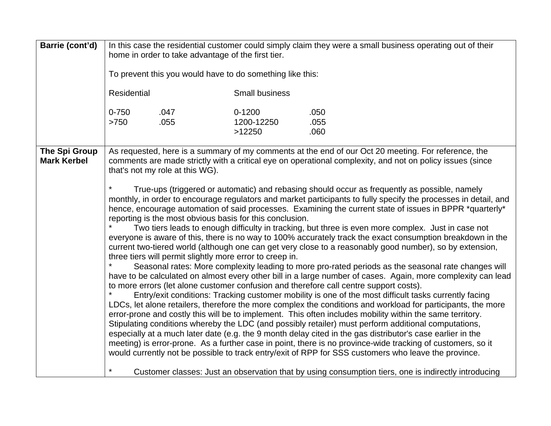| Barrie (cont'd)                     | In this case the residential customer could simply claim they were a small business operating out of their<br>home in order to take advantage of the first tier.<br>To prevent this you would have to do something like this:<br>Residential<br><b>Small business</b>                                                                                                                                                                                                                                                                                                                                                                                                                                                                                                                                                                                                                                                                                                                                                                                                                                                                                                                                                                                                                                                                                                                                                                                                                                                                                                                                                                                                                                                                                                                                                                                                                                                                                                                                                                                                                                                                                                 |                                    |                      |  |
|-------------------------------------|-----------------------------------------------------------------------------------------------------------------------------------------------------------------------------------------------------------------------------------------------------------------------------------------------------------------------------------------------------------------------------------------------------------------------------------------------------------------------------------------------------------------------------------------------------------------------------------------------------------------------------------------------------------------------------------------------------------------------------------------------------------------------------------------------------------------------------------------------------------------------------------------------------------------------------------------------------------------------------------------------------------------------------------------------------------------------------------------------------------------------------------------------------------------------------------------------------------------------------------------------------------------------------------------------------------------------------------------------------------------------------------------------------------------------------------------------------------------------------------------------------------------------------------------------------------------------------------------------------------------------------------------------------------------------------------------------------------------------------------------------------------------------------------------------------------------------------------------------------------------------------------------------------------------------------------------------------------------------------------------------------------------------------------------------------------------------------------------------------------------------------------------------------------------------|------------------------------------|----------------------|--|
|                                     | $0 - 750$<br>.047<br>.055<br>$>750$                                                                                                                                                                                                                                                                                                                                                                                                                                                                                                                                                                                                                                                                                                                                                                                                                                                                                                                                                                                                                                                                                                                                                                                                                                                                                                                                                                                                                                                                                                                                                                                                                                                                                                                                                                                                                                                                                                                                                                                                                                                                                                                                   | $0 - 1200$<br>1200-12250<br>>12250 | .050<br>.055<br>.060 |  |
| The Spi Group<br><b>Mark Kerbel</b> | As requested, here is a summary of my comments at the end of our Oct 20 meeting. For reference, the<br>comments are made strictly with a critical eye on operational complexity, and not on policy issues (since<br>that's not my role at this WG).<br>$\star$<br>True-ups (triggered or automatic) and rebasing should occur as frequently as possible, namely<br>monthly, in order to encourage regulators and market participants to fully specify the processes in detail, and<br>hence, encourage automation of said processes. Examining the current state of issues in BPPR *quarterly*<br>reporting is the most obvious basis for this conclusion.<br>Two tiers leads to enough difficulty in tracking, but three is even more complex. Just in case not<br>everyone is aware of this, there is no way to 100% accurately track the exact consumption breakdown in the<br>current two-tiered world (although one can get very close to a reasonably good number), so by extension,<br>three tiers will permit slightly more error to creep in.<br>Seasonal rates: More complexity leading to more pro-rated periods as the seasonal rate changes will<br>have to be calculated on almost every other bill in a large number of cases. Again, more complexity can lead<br>to more errors (let alone customer confusion and therefore call centre support costs).<br>$\star$<br>Entry/exit conditions: Tracking customer mobility is one of the most difficult tasks currently facing<br>LDCs, let alone retailers, therefore the more complex the conditions and workload for participants, the more<br>error-prone and costly this will be to implement. This often includes mobility within the same territory.<br>Stipulating conditions whereby the LDC (and possibly retailer) must perform additional computations,<br>especially at a much later date (e.g. the 9 month delay cited in the gas distributor's case earlier in the<br>meeting) is error-prone. As a further case in point, there is no province-wide tracking of customers, so it<br>would currently not be possible to track entry/exit of RPP for SSS customers who leave the province. |                                    |                      |  |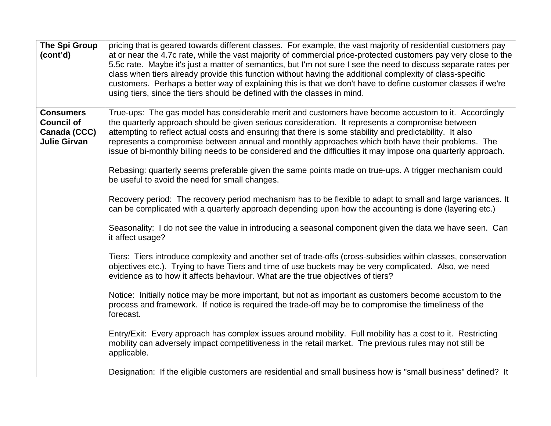| The Spi Group<br>(cont'd)                                                    | pricing that is geared towards different classes. For example, the vast majority of residential customers pay<br>at or near the 4.7c rate, while the vast majority of commercial price-protected customers pay very close to the<br>5.5c rate. Maybe it's just a matter of semantics, but I'm not sure I see the need to discuss separate rates per<br>class when tiers already provide this function without having the additional complexity of class-specific<br>customers. Perhaps a better way of explaining this is that we don't have to define customer classes if we're<br>using tiers, since the tiers should be defined with the classes in mind.                                                                                                                                                                                                                                                                                                                                                                                                                                                                                                                                                                                                                                                                                                                                                                                                                                                                                                                                                                                                                                                                                                                                                                                                                                                                                                            |
|------------------------------------------------------------------------------|-------------------------------------------------------------------------------------------------------------------------------------------------------------------------------------------------------------------------------------------------------------------------------------------------------------------------------------------------------------------------------------------------------------------------------------------------------------------------------------------------------------------------------------------------------------------------------------------------------------------------------------------------------------------------------------------------------------------------------------------------------------------------------------------------------------------------------------------------------------------------------------------------------------------------------------------------------------------------------------------------------------------------------------------------------------------------------------------------------------------------------------------------------------------------------------------------------------------------------------------------------------------------------------------------------------------------------------------------------------------------------------------------------------------------------------------------------------------------------------------------------------------------------------------------------------------------------------------------------------------------------------------------------------------------------------------------------------------------------------------------------------------------------------------------------------------------------------------------------------------------------------------------------------------------------------------------------------------------|
| <b>Consumers</b><br><b>Council of</b><br>Canada (CCC)<br><b>Julie Girvan</b> | True-ups: The gas model has considerable merit and customers have become accustom to it. Accordingly<br>the quarterly approach should be given serious consideration. It represents a compromise between<br>attempting to reflect actual costs and ensuring that there is some stability and predictability. It also<br>represents a compromise between annual and monthly approaches which both have their problems. The<br>issue of bi-monthly billing needs to be considered and the difficulties it may impose ona quarterly approach.<br>Rebasing: quarterly seems preferable given the same points made on true-ups. A trigger mechanism could<br>be useful to avoid the need for small changes.<br>Recovery period: The recovery period mechanism has to be flexible to adapt to small and large variances. It<br>can be complicated with a quarterly approach depending upon how the accounting is done (layering etc.)<br>Seasonality: I do not see the value in introducing a seasonal component given the data we have seen. Can<br>it affect usage?<br>Tiers: Tiers introduce complexity and another set of trade-offs (cross-subsidies within classes, conservation<br>objectives etc.). Trying to have Tiers and time of use buckets may be very complicated. Also, we need<br>evidence as to how it affects behaviour. What are the true objectives of tiers?<br>Notice: Initially notice may be more important, but not as important as customers become accustom to the<br>process and framework. If notice is required the trade-off may be to compromise the timeliness of the<br>forecast.<br>Entry/Exit: Every approach has complex issues around mobility. Full mobility has a cost to it. Restricting<br>mobility can adversely impact competitiveness in the retail market. The previous rules may not still be<br>applicable.<br>Designation: If the eligible customers are residential and small business how is "small business" defined? It |
|                                                                              |                                                                                                                                                                                                                                                                                                                                                                                                                                                                                                                                                                                                                                                                                                                                                                                                                                                                                                                                                                                                                                                                                                                                                                                                                                                                                                                                                                                                                                                                                                                                                                                                                                                                                                                                                                                                                                                                                                                                                                         |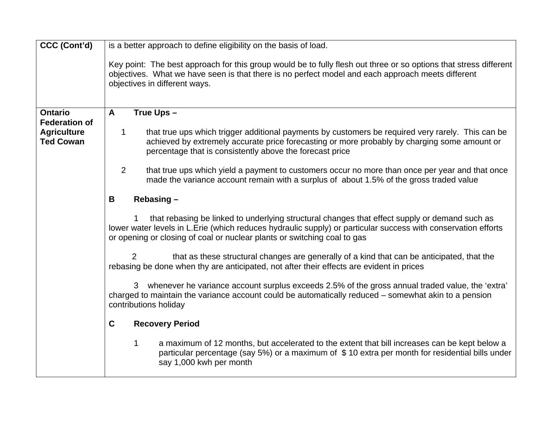| CCC (Cont'd)                           | is a better approach to define eligibility on the basis of load.                                                                                                                                                                                                                           |  |  |  |  |  |
|----------------------------------------|--------------------------------------------------------------------------------------------------------------------------------------------------------------------------------------------------------------------------------------------------------------------------------------------|--|--|--|--|--|
|                                        | Key point: The best approach for this group would be to fully flesh out three or so options that stress different<br>objectives. What we have seen is that there is no perfect model and each approach meets different<br>objectives in different ways.                                    |  |  |  |  |  |
| <b>Ontario</b><br><b>Federation of</b> | A<br>True Ups -                                                                                                                                                                                                                                                                            |  |  |  |  |  |
| <b>Agriculture</b><br><b>Ted Cowan</b> | that true ups which trigger additional payments by customers be required very rarely. This can be<br>1<br>achieved by extremely accurate price forecasting or more probably by charging some amount or<br>percentage that is consistently above the forecast price                         |  |  |  |  |  |
|                                        | 2<br>that true ups which yield a payment to customers occur no more than once per year and that once<br>made the variance account remain with a surplus of about 1.5% of the gross traded value                                                                                            |  |  |  |  |  |
|                                        | Rebasing -<br>B                                                                                                                                                                                                                                                                            |  |  |  |  |  |
|                                        | that rebasing be linked to underlying structural changes that effect supply or demand such as<br>lower water levels in L.Erie (which reduces hydraulic supply) or particular success with conservation efforts<br>or opening or closing of coal or nuclear plants or switching coal to gas |  |  |  |  |  |
|                                        | 2<br>that as these structural changes are generally of a kind that can be anticipated, that the<br>rebasing be done when thy are anticipated, not after their effects are evident in prices                                                                                                |  |  |  |  |  |
|                                        | 3 whenever he variance account surplus exceeds 2.5% of the gross annual traded value, the 'extra'<br>charged to maintain the variance account could be automatically reduced – somewhat akin to a pension<br>contributions holiday                                                         |  |  |  |  |  |
|                                        | $\mathbf C$<br><b>Recovery Period</b>                                                                                                                                                                                                                                                      |  |  |  |  |  |
|                                        | 1<br>a maximum of 12 months, but accelerated to the extent that bill increases can be kept below a<br>particular percentage (say 5%) or a maximum of \$10 extra per month for residential bills under<br>say 1,000 kwh per month                                                           |  |  |  |  |  |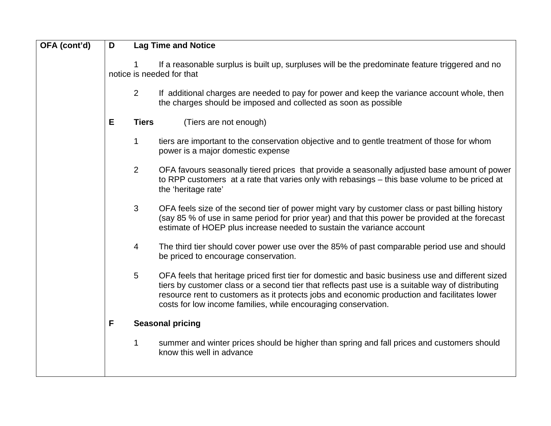| OFA (cont'd) | D                                                                                                                            |                 | <b>Lag Time and Notice</b>                                                                                                                                                                                                                                                                                                                                               |  |  |
|--------------|------------------------------------------------------------------------------------------------------------------------------|-----------------|--------------------------------------------------------------------------------------------------------------------------------------------------------------------------------------------------------------------------------------------------------------------------------------------------------------------------------------------------------------------------|--|--|
|              | If a reasonable surplus is built up, surpluses will be the predominate feature triggered and no<br>notice is needed for that |                 |                                                                                                                                                                                                                                                                                                                                                                          |  |  |
|              |                                                                                                                              | $\overline{2}$  | If additional charges are needed to pay for power and keep the variance account whole, then<br>the charges should be imposed and collected as soon as possible                                                                                                                                                                                                           |  |  |
|              | E                                                                                                                            | <b>Tiers</b>    | (Tiers are not enough)                                                                                                                                                                                                                                                                                                                                                   |  |  |
|              |                                                                                                                              | 1               | tiers are important to the conservation objective and to gentle treatment of those for whom<br>power is a major domestic expense                                                                                                                                                                                                                                         |  |  |
|              |                                                                                                                              | 2               | OFA favours seasonally tiered prices that provide a seasonally adjusted base amount of power<br>to RPP customers at a rate that varies only with rebasings – this base volume to be priced at<br>the 'heritage rate'                                                                                                                                                     |  |  |
|              |                                                                                                                              | 3               | OFA feels size of the second tier of power might vary by customer class or past billing history<br>(say 85 % of use in same period for prior year) and that this power be provided at the forecast<br>estimate of HOEP plus increase needed to sustain the variance account                                                                                              |  |  |
|              |                                                                                                                              | 4               | The third tier should cover power use over the 85% of past comparable period use and should<br>be priced to encourage conservation.                                                                                                                                                                                                                                      |  |  |
|              |                                                                                                                              | $5\phantom{.0}$ | OFA feels that heritage priced first tier for domestic and basic business use and different sized<br>tiers by customer class or a second tier that reflects past use is a suitable way of distributing<br>resource rent to customers as it protects jobs and economic production and facilitates lower<br>costs for low income families, while encouraging conservation. |  |  |
|              | F                                                                                                                            |                 | <b>Seasonal pricing</b>                                                                                                                                                                                                                                                                                                                                                  |  |  |
|              |                                                                                                                              | 1               | summer and winter prices should be higher than spring and fall prices and customers should<br>know this well in advance                                                                                                                                                                                                                                                  |  |  |
|              |                                                                                                                              |                 |                                                                                                                                                                                                                                                                                                                                                                          |  |  |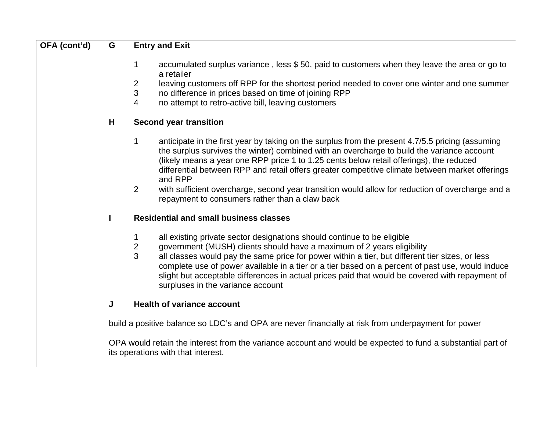| OFA (cont'd) | G | <b>Entry and Exit</b>                                                                                                                                                                                                                                                                                                                                                                                                                                                                                                                        |
|--------------|---|----------------------------------------------------------------------------------------------------------------------------------------------------------------------------------------------------------------------------------------------------------------------------------------------------------------------------------------------------------------------------------------------------------------------------------------------------------------------------------------------------------------------------------------------|
|              |   | accumulated surplus variance, less \$50, paid to customers when they leave the area or go to<br>1<br>a retailer<br>leaving customers off RPP for the shortest period needed to cover one winter and one summer<br>2<br>$\mathbf{3}$<br>no difference in prices based on time of joining RPP<br>4<br>no attempt to retro-active bill, leaving customers                                                                                                                                                                                       |
|              | H | <b>Second year transition</b>                                                                                                                                                                                                                                                                                                                                                                                                                                                                                                                |
|              |   | $\mathbf 1$<br>anticipate in the first year by taking on the surplus from the present 4.7/5.5 pricing (assuming<br>the surplus survives the winter) combined with an overcharge to build the variance account<br>(likely means a year one RPP price 1 to 1.25 cents below retail offerings), the reduced<br>differential between RPP and retail offers greater competitive climate between market offerings<br>and RPP<br>$\overline{2}$<br>with sufficient overcharge, second year transition would allow for reduction of overcharge and a |
|              |   | repayment to consumers rather than a claw back                                                                                                                                                                                                                                                                                                                                                                                                                                                                                               |
|              |   | <b>Residential and small business classes</b>                                                                                                                                                                                                                                                                                                                                                                                                                                                                                                |
|              |   | all existing private sector designations should continue to be eligible<br>1<br>$\overline{c}$<br>government (MUSH) clients should have a maximum of 2 years eligibility<br>3<br>all classes would pay the same price for power within a tier, but different tier sizes, or less<br>complete use of power available in a tier or a tier based on a percent of past use, would induce<br>slight but acceptable differences in actual prices paid that would be covered with repayment of<br>surpluses in the variance account                 |
|              | J | <b>Health of variance account</b>                                                                                                                                                                                                                                                                                                                                                                                                                                                                                                            |
|              |   | build a positive balance so LDC's and OPA are never financially at risk from underpayment for power                                                                                                                                                                                                                                                                                                                                                                                                                                          |
|              |   | OPA would retain the interest from the variance account and would be expected to fund a substantial part of<br>its operations with that interest.                                                                                                                                                                                                                                                                                                                                                                                            |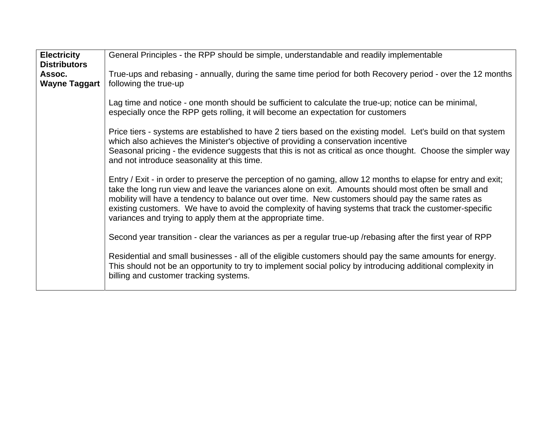| <b>Electricity</b><br><b>Distributors</b> | General Principles - the RPP should be simple, understandable and readily implementable                                                                                                                                                                                                                                                                                                                                                                                                               |  |  |  |  |
|-------------------------------------------|-------------------------------------------------------------------------------------------------------------------------------------------------------------------------------------------------------------------------------------------------------------------------------------------------------------------------------------------------------------------------------------------------------------------------------------------------------------------------------------------------------|--|--|--|--|
| Assoc.<br><b>Wayne Taggart</b>            | True-ups and rebasing - annually, during the same time period for both Recovery period - over the 12 months<br>following the true-up                                                                                                                                                                                                                                                                                                                                                                  |  |  |  |  |
|                                           | Lag time and notice - one month should be sufficient to calculate the true-up; notice can be minimal,<br>especially once the RPP gets rolling, it will become an expectation for customers                                                                                                                                                                                                                                                                                                            |  |  |  |  |
|                                           | Price tiers - systems are established to have 2 tiers based on the existing model. Let's build on that system<br>which also achieves the Minister's objective of providing a conservation incentive<br>Seasonal pricing - the evidence suggests that this is not as critical as once thought. Choose the simpler way<br>and not introduce seasonality at this time.                                                                                                                                   |  |  |  |  |
|                                           | Entry / Exit - in order to preserve the perception of no gaming, allow 12 months to elapse for entry and exit;<br>take the long run view and leave the variances alone on exit. Amounts should most often be small and<br>mobility will have a tendency to balance out over time. New customers should pay the same rates as<br>existing customers. We have to avoid the complexity of having systems that track the customer-specific<br>variances and trying to apply them at the appropriate time. |  |  |  |  |
|                                           | Second year transition - clear the variances as per a regular true-up /rebasing after the first year of RPP                                                                                                                                                                                                                                                                                                                                                                                           |  |  |  |  |
|                                           | Residential and small businesses - all of the eligible customers should pay the same amounts for energy.<br>This should not be an opportunity to try to implement social policy by introducing additional complexity in<br>billing and customer tracking systems.                                                                                                                                                                                                                                     |  |  |  |  |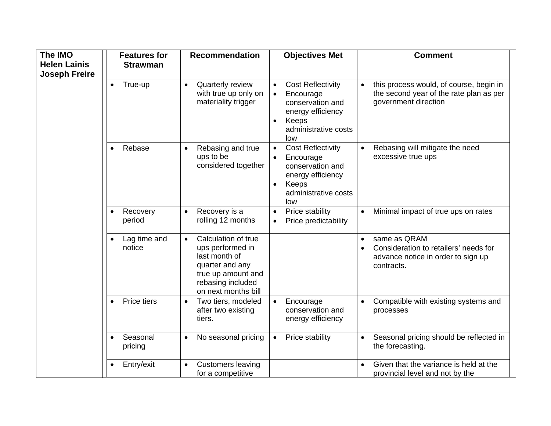| The IMO              | <b>Features for</b>      | <b>Recommendation</b>                                                                                                                                      | <b>Objectives Met</b>                                                                                                                                         | <b>Comment</b>                                                                                                          |  |
|----------------------|--------------------------|------------------------------------------------------------------------------------------------------------------------------------------------------------|---------------------------------------------------------------------------------------------------------------------------------------------------------------|-------------------------------------------------------------------------------------------------------------------------|--|
| <b>Helen Lainis</b>  | <b>Strawman</b>          |                                                                                                                                                            |                                                                                                                                                               |                                                                                                                         |  |
| <b>Joseph Freire</b> | True-up                  | Quarterly review<br>$\bullet$<br>with true up only on<br>materiality trigger                                                                               | <b>Cost Reflectivity</b><br>$\bullet$<br>Encourage<br>$\bullet$<br>conservation and<br>energy efficiency<br>Keeps<br>$\bullet$<br>administrative costs<br>low | this process would, of course, begin in<br>$\bullet$<br>the second year of the rate plan as per<br>government direction |  |
|                      | Rebase<br>$\bullet$      | Rebasing and true<br>$\bullet$<br>ups to be<br>considered together                                                                                         | <b>Cost Reflectivity</b><br>$\bullet$<br>Encourage<br>$\bullet$<br>conservation and<br>energy efficiency<br>Keeps<br>$\bullet$<br>administrative costs<br>low | Rebasing will mitigate the need<br>excessive true ups                                                                   |  |
|                      | Recovery<br>period       | Recovery is a<br>$\bullet$<br>rolling 12 months                                                                                                            | Price stability<br>$\bullet$<br>Price predictability<br>$\bullet$                                                                                             | Minimal impact of true ups on rates<br>$\bullet$                                                                        |  |
|                      | Lag time and<br>notice   | Calculation of true<br>$\bullet$<br>ups performed in<br>last month of<br>quarter and any<br>true up amount and<br>rebasing included<br>on next months bill |                                                                                                                                                               | same as QRAM<br>$\bullet$<br>Consideration to retailers' needs for<br>advance notice in order to sign up<br>contracts.  |  |
|                      | Price tiers<br>$\bullet$ | Two tiers, modeled<br>$\bullet$<br>after two existing<br>tiers.                                                                                            | Encourage<br>$\bullet$<br>conservation and<br>energy efficiency                                                                                               | Compatible with existing systems and<br>processes                                                                       |  |
|                      | Seasonal<br>pricing      | No seasonal pricing<br>$\bullet$                                                                                                                           | Price stability<br>$\bullet$                                                                                                                                  | Seasonal pricing should be reflected in<br>$\bullet$<br>the forecasting.                                                |  |
|                      | Entry/exit               | <b>Customers leaving</b><br>$\bullet$<br>for a competitive                                                                                                 |                                                                                                                                                               | Given that the variance is held at the<br>provincial level and not by the                                               |  |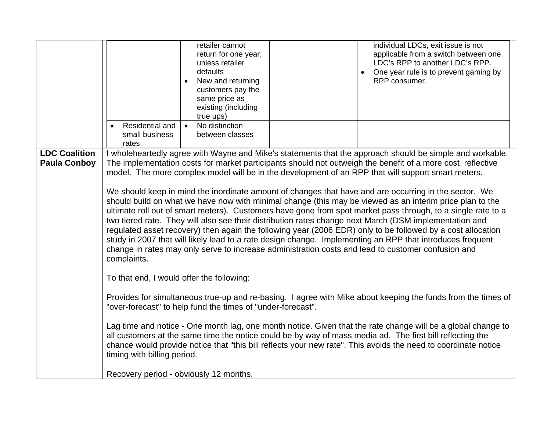|                      | retailer cannot<br>return for one year,<br>unless retailer<br>defaults<br>New and returning<br>customers pay the<br>same price as<br>existing (including<br>true ups)<br>Residential and<br>No distinction<br>$\bullet$<br>small business<br>between classes<br>rates                                                                                                      | individual LDCs, exit issue is not<br>applicable from a switch between one<br>LDC's RPP to another LDC's RPP.<br>One year rule is to prevent gaming by<br>RPP consumer. |  |  |  |  |  |
|----------------------|----------------------------------------------------------------------------------------------------------------------------------------------------------------------------------------------------------------------------------------------------------------------------------------------------------------------------------------------------------------------------|-------------------------------------------------------------------------------------------------------------------------------------------------------------------------|--|--|--|--|--|
| <b>LDC Coalition</b> | I wholeheartedly agree with Wayne and Mike's statements that the approach should be simple and workable.                                                                                                                                                                                                                                                                   |                                                                                                                                                                         |  |  |  |  |  |
| <b>Paula Conboy</b>  | The implementation costs for market participants should not outweigh the benefit of a more cost reflective<br>model. The more complex model will be in the development of an RPP that will support smart meters.                                                                                                                                                           |                                                                                                                                                                         |  |  |  |  |  |
|                      |                                                                                                                                                                                                                                                                                                                                                                            |                                                                                                                                                                         |  |  |  |  |  |
|                      | We should keep in mind the inordinate amount of changes that have and are occurring in the sector. We<br>should build on what we have now with minimal change (this may be viewed as an interim price plan to the                                                                                                                                                          |                                                                                                                                                                         |  |  |  |  |  |
|                      | ultimate roll out of smart meters). Customers have gone from spot market pass through, to a single rate to a                                                                                                                                                                                                                                                               |                                                                                                                                                                         |  |  |  |  |  |
|                      | two tiered rate. They will also see their distribution rates change next March (DSM implementation and<br>regulated asset recovery) then again the following year (2006 EDR) only to be followed by a cost allocation                                                                                                                                                      |                                                                                                                                                                         |  |  |  |  |  |
|                      | study in 2007 that will likely lead to a rate design change. Implementing an RPP that introduces frequent                                                                                                                                                                                                                                                                  |                                                                                                                                                                         |  |  |  |  |  |
|                      | change in rates may only serve to increase administration costs and lead to customer confusion and<br>complaints.                                                                                                                                                                                                                                                          |                                                                                                                                                                         |  |  |  |  |  |
|                      |                                                                                                                                                                                                                                                                                                                                                                            |                                                                                                                                                                         |  |  |  |  |  |
|                      | To that end, I would offer the following:                                                                                                                                                                                                                                                                                                                                  |                                                                                                                                                                         |  |  |  |  |  |
|                      | Provides for simultaneous true-up and re-basing. I agree with Mike about keeping the funds from the times of<br>"over-forecast" to help fund the times of "under-forecast".                                                                                                                                                                                                |                                                                                                                                                                         |  |  |  |  |  |
|                      | Lag time and notice - One month lag, one month notice. Given that the rate change will be a global change to<br>all customers at the same time the notice could be by way of mass media ad. The first bill reflecting the<br>chance would provide notice that "this bill reflects your new rate". This avoids the need to coordinate notice<br>timing with billing period. |                                                                                                                                                                         |  |  |  |  |  |
|                      | Recovery period - obviously 12 months.                                                                                                                                                                                                                                                                                                                                     |                                                                                                                                                                         |  |  |  |  |  |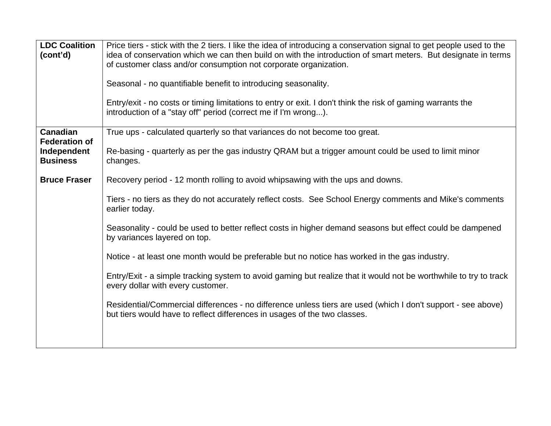| <b>LDC Coalition</b><br>(cont'd)                       | Price tiers - stick with the 2 tiers. I like the idea of introducing a conservation signal to get people used to the<br>idea of conservation which we can then build on with the introduction of smart meters. But designate in terms<br>of customer class and/or consumption not corporate organization.<br>Seasonal - no quantifiable benefit to introducing seasonality.<br>Entry/exit - no costs or timing limitations to entry or exit. I don't think the risk of gaming warrants the<br>introduction of a "stay off" period (correct me if I'm wrong). |
|--------------------------------------------------------|--------------------------------------------------------------------------------------------------------------------------------------------------------------------------------------------------------------------------------------------------------------------------------------------------------------------------------------------------------------------------------------------------------------------------------------------------------------------------------------------------------------------------------------------------------------|
| <b>Canadian</b>                                        | True ups - calculated quarterly so that variances do not become too great.                                                                                                                                                                                                                                                                                                                                                                                                                                                                                   |
| <b>Federation of</b><br>Independent<br><b>Business</b> | Re-basing - quarterly as per the gas industry QRAM but a trigger amount could be used to limit minor<br>changes.                                                                                                                                                                                                                                                                                                                                                                                                                                             |
| <b>Bruce Fraser</b>                                    | Recovery period - 12 month rolling to avoid whipsawing with the ups and downs.                                                                                                                                                                                                                                                                                                                                                                                                                                                                               |
|                                                        | Tiers - no tiers as they do not accurately reflect costs. See School Energy comments and Mike's comments<br>earlier today.                                                                                                                                                                                                                                                                                                                                                                                                                                   |
|                                                        | Seasonality - could be used to better reflect costs in higher demand seasons but effect could be dampened<br>by variances layered on top.                                                                                                                                                                                                                                                                                                                                                                                                                    |
|                                                        | Notice - at least one month would be preferable but no notice has worked in the gas industry.                                                                                                                                                                                                                                                                                                                                                                                                                                                                |
|                                                        | Entry/Exit - a simple tracking system to avoid gaming but realize that it would not be worthwhile to try to track<br>every dollar with every customer.                                                                                                                                                                                                                                                                                                                                                                                                       |
|                                                        | Residential/Commercial differences - no difference unless tiers are used (which I don't support - see above)<br>but tiers would have to reflect differences in usages of the two classes.                                                                                                                                                                                                                                                                                                                                                                    |
|                                                        |                                                                                                                                                                                                                                                                                                                                                                                                                                                                                                                                                              |